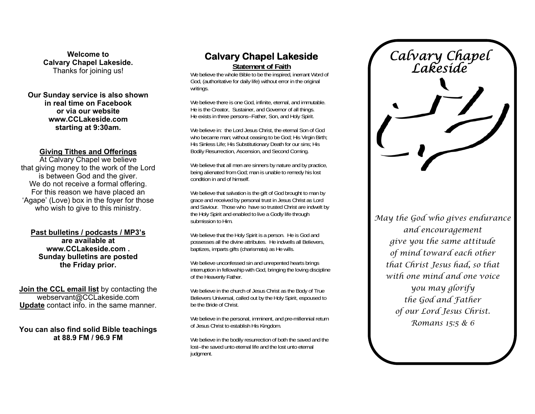**Welcome to Calvary Chapel Lakeside.**  Thanks for joining us!

**Our Sunday service is also shown in real time on Facebook or via our website www.CCLakeside.com starting at 9:30am.** 

#### **Giving Tithes and Offerings**

At Calvary Chapel we believe that giving money to the work of the Lord is between God and the giver. We do not receive a formal offering. For this reason we have placed an 'Agape' (Love) box in the foyer for those who wish to give to this ministry.

**Past bulletins / podcasts / MP3's are available at www.CCLakeside.com . Sunday bulletins are posted the Friday prior.** 

**Join the CCL email list** by contacting the webservant@CCLakeside.com **Update** contact info. in the same manner.

**You can also find solid Bible teachings at 88.9 FM / 96.9 FM** 

# **Calvary Chapel Lakeside**

**Statement of Faith**

We believe the whole Bible to be the inspired, inerrant Word of God, (authoritative for daily life) without error in the original writings.

We believe there is one God, infinite, eternal, and immutable. He is the Creator, Sustainer, and Governor of all things. He exists in three persons--Father, Son, and Holy Spirit.

We believe in: the Lord Jesus Christ, the eternal Son of God who became man; without ceasing to be God; His Virgin Birth; His Sinless Life; His Substitutionary Death for our sins; His Bodily Resurrection, Ascension, and Second Coming.

We believe that all men are sinners by nature and by practice, being alienated from God; man is unable to remedy his lost condition in and of himself.

We believe that salvation is the gift of God brought to man by grace and received by personal trust in Jesus Christ as Lord and Saviour. Those who have so trusted Christ are indwelt by the Holy Spirit and enabled to live a Godly life through submission to Him.

We believe that the Holy Spirit is a person. He is God and possesses all the divine attributes. He indwells all Believers, baptizes, imparts gifts (charismata) as He wills.

We believe unconfessed sin and unrepented hearts brings interruption in fellowship with God, bringing the loving discipline of the Heavenly Father.

We believe in the church of Jesus Christ as the Body of True Believers Universal, called out by the Holy Spirit, espoused to be the Bride of Christ.

We believe in the personal, imminent, and pre-millennial return of Jesus Christ to establish His Kingdom.

We believe in the bodily resurrection of both the saved and the lost--the saved unto eternal life and the lost unto eternal judgment.

*Calvary Chapel Lakeside* 

*May the God who gives endurance and encouragement give you the same attitude of mind toward each other that Christ Jesus had, so that with one mind and one voice you may glorify the God and Father of our Lord Jesus Christ. Romans 15:5 & 6*